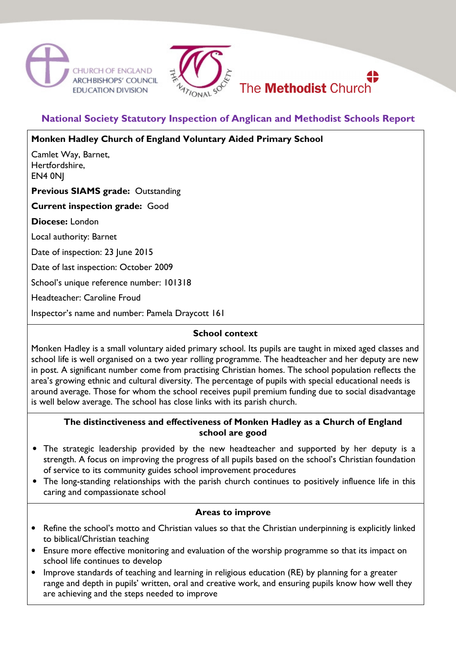



# **National Society Statutory Inspection of Anglican and Methodist Schools Report**

## **Monken Hadley Church of England Voluntary Aided Primary School**

Camlet Way, Barnet, Hertfordshire, EN4 0NJ

### **Previous SIAMS grade:** Outstanding

**Current inspection grade:** Good

**Diocese:** London

Local authority: Barnet

Date of inspection: 23 June 2015

Date of last inspection: October 2009

School's unique reference number: 101318

Headteacher: Caroline Froud

Inspector's name and number: Pamela Draycott 161

### **School context**

Monken Hadley is a small voluntary aided primary school. Its pupils are taught in mixed aged classes and school life is well organised on a two year rolling programme. The headteacher and her deputy are new in post. A significant number come from practising Christian homes. The school population reflects the area's growing ethnic and cultural diversity. The percentage of pupils with special educational needs is around average. Those for whom the school receives pupil premium funding due to social disadvantage is well below average. The school has close links with its parish church.

#### **The distinctiveness and effectiveness of Monken Hadley as a Church of England school are good**

- The strategic leadership provided by the new headteacher and supported by her deputy is a strength. A focus on improving the progress of all pupils based on the school's Christian foundation of service to its community guides school improvement procedures
- The long-standing relationships with the parish church continues to positively influence life in this caring and compassionate school

#### **Areas to improve**

- Refine the school's motto and Christian values so that the Christian underpinning is explicitly linked to biblical/Christian teaching
- Ensure more effective monitoring and evaluation of the worship programme so that its impact on school life continues to develop
- Improve standards of teaching and learning in religious education (RE) by planning for a greater range and depth in pupils' written, oral and creative work, and ensuring pupils know how well they are achieving and the steps needed to improve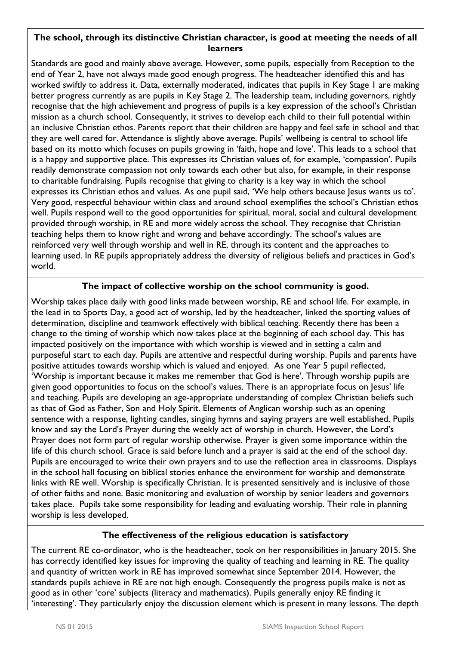### **The school, through its distinctive Christian character, is good at meeting the needs of all learners**

Standards are good and mainly above average. However, some pupils, especially from Reception to the end of Year 2, have not always made good enough progress. The headteacher identified this and has worked swiftly to address it. Data, externally moderated, indicates that pupils in Key Stage 1 are making better progress currently as are pupils in Key Stage 2. The leadership team, including governors, rightly recognise that the high achievement and progress of pupils is a key expression of the school's Christian mission as a church school. Consequently, it strives to develop each child to their full potential within an inclusive Christian ethos. Parents report that their children are happy and feel safe in school and that they are well cared for. Attendance is slightly above average. Pupils' wellbeing is central to school life based on its motto which focuses on pupils growing in 'faith, hope and love'. This leads to a school that is a happy and supportive place. This expresses its Christian values of, for example, 'compassion'. Pupils readily demonstrate compassion not only towards each other but also, for example, in their response to charitable fundraising. Pupils recognise that giving to charity is a key way in which the school expresses its Christian ethos and values. As one pupil said, 'We help others because Jesus wants us to'. Very good, respectful behaviour within class and around school exemplifies the school's Christian ethos well. Pupils respond well to the good opportunities for spiritual, moral, social and cultural development provided through worship, in RE and more widely across the school. They recognise that Christian teaching helps them to know right and wrong and behave accordingly. The school's values are reinforced very well through worship and well in RE, through its content and the approaches to learning used. In RE pupils appropriately address the diversity of religious beliefs and practices in God's world.

## **The impact of collective worship on the school community is good.**

Worship takes place daily with good links made between worship, RE and school life. For example, in the lead in to Sports Day, a good act of worship, led by the headteacher, linked the sporting values of determination, discipline and teamwork effectively with biblical teaching. Recently there has been a change to the timing of worship which now takes place at the beginning of each school day. This has impacted positively on the importance with which worship is viewed and in setting a calm and purposeful start to each day. Pupils are attentive and respectful during worship. Pupils and parents have positive attitudes towards worship which is valued and enjoyed. As one Year 5 pupil reflected, 'Worship is important because it makes me remember that God is here'. Through worship pupils are given good opportunities to focus on the school's values. There is an appropriate focus on Jesus' life and teaching. Pupils are developing an age-appropriate understanding of complex Christian beliefs such as that of God as Father, Son and Holy Spirit. Elements of Anglican worship such as an opening sentence with a response, lighting candles, singing hymns and saying prayers are well established. Pupils know and say the Lord's Prayer during the weekly act of worship in church. However, the Lord's Prayer does not form part of regular worship otherwise. Prayer is given some importance within the life of this church school. Grace is said before lunch and a prayer is said at the end of the school day. Pupils are encouraged to write their own prayers and to use the reflection area in classrooms. Displays in the school hall focusing on biblical stories enhance the environment for worship and demonstrate links with RE well. Worship is specifically Christian. It is presented sensitively and is inclusive of those of other faiths and none. Basic monitoring and evaluation of worship by senior leaders and governors takes place. Pupils take some responsibility for leading and evaluating worship. Their role in planning worship is less developed.

## **The effectiveness of the religious education is satisfactory**

The current RE co-ordinator, who is the headteacher, took on her responsibilities in January 2015. She has correctly identified key issues for improving the quality of teaching and learning in RE. The quality and quantity of written work in RE has improved somewhat since September 2014. However, the standards pupils achieve in RE are not high enough. Consequently the progress pupils make is not as good as in other 'core' subjects (literacy and mathematics). Pupils generally enjoy RE finding it 'interesting'. They particularly enjoy the discussion element which is present in many lessons. The depth